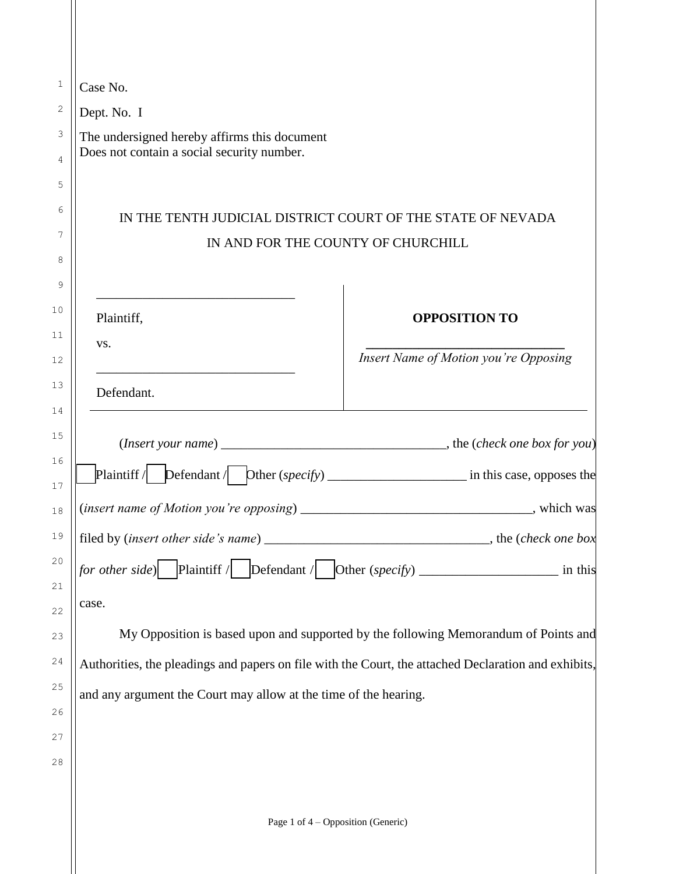| $\mathbf{1}$   | Case No.                                                                                                        |
|----------------|-----------------------------------------------------------------------------------------------------------------|
| $\mathbf{2}$   | Dept. No. I                                                                                                     |
| 3              | The undersigned hereby affirms this document                                                                    |
| $\overline{4}$ | Does not contain a social security number.                                                                      |
| 5              |                                                                                                                 |
| 6              | IN THE TENTH JUDICIAL DISTRICT COURT OF THE STATE OF NEVADA                                                     |
| 7              | IN AND FOR THE COUNTY OF CHURCHILL                                                                              |
| 8              |                                                                                                                 |
| 9              |                                                                                                                 |
| 10             | Plaintiff,<br><b>OPPOSITION TO</b>                                                                              |
| 11<br>12       | VS.<br>Insert Name of Motion you're Opposing                                                                    |
| 13             |                                                                                                                 |
| 14             | Defendant.                                                                                                      |
| 15             |                                                                                                                 |
| 16<br>17       | Plaintiff / $\Box$ Defendant / $\Box$ Dther (specify) _______________________________ in this case, opposes the |
| 18             | $(insert name of Motion you're opposing)$<br>, which was                                                        |
| 19             | filed by (insert other side's name) _<br>$\frac{1}{2}$ , the ( <i>check one box</i> )                           |
| 20<br>21       | <i>for other side</i> ) Plaintiff / Defendant / Other (specify) __________________ in this                      |
| 22             | case.                                                                                                           |
| 23             | My Opposition is based upon and supported by the following Memorandum of Points and                             |
| 24             | Authorities, the pleadings and papers on file with the Court, the attached Declaration and exhibits,            |
| 25             | and any argument the Court may allow at the time of the hearing.                                                |
| 26             |                                                                                                                 |
| 27             |                                                                                                                 |
| 28             |                                                                                                                 |
|                |                                                                                                                 |
|                | Page 1 of 4 – Opposition (Generic)                                                                              |

 $\parallel$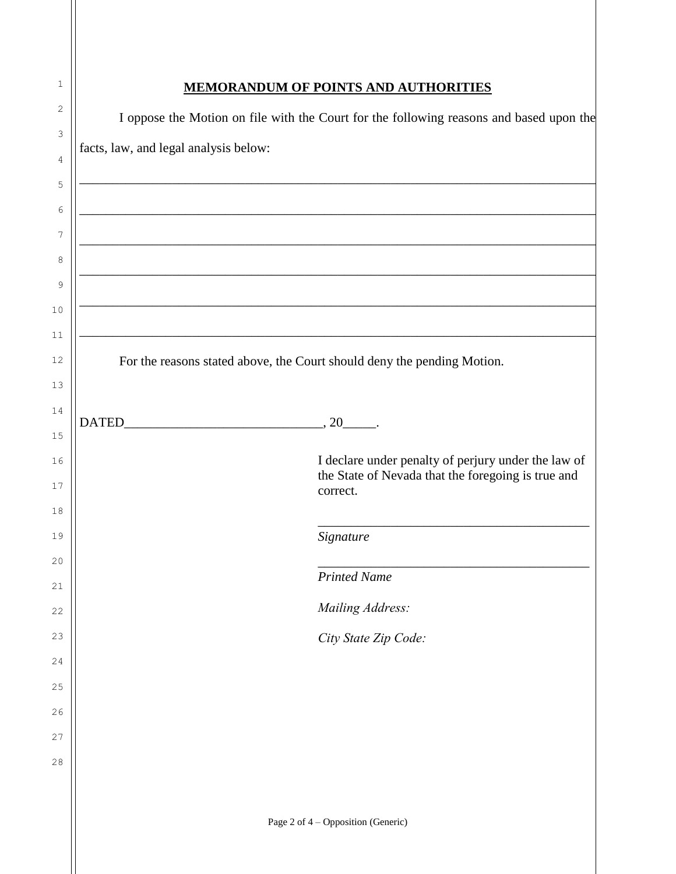| 1        | <b>MEMORANDUM OF POINTS AND AUTHORITIES</b>                                                                                                                                                                                          |
|----------|--------------------------------------------------------------------------------------------------------------------------------------------------------------------------------------------------------------------------------------|
| 2        | I oppose the Motion on file with the Court for the following reasons and based upon the                                                                                                                                              |
| 3<br>4   | facts, law, and legal analysis below:                                                                                                                                                                                                |
| 5        |                                                                                                                                                                                                                                      |
| 6        | <u> 1989 - Jan Barnett, fransk politiker (d. 1989)</u>                                                                                                                                                                               |
| 7        | <u> 1980 - Jan Stein Stein, september 1980 - Stein Stein Stein Stein Stein Stein Stein Stein Stein Stein Stein Stein Stein Stein Stein Stein Stein Stein Stein Stein Stein Stein Stein Stein Stein Stein Stein Stein Stein Stein</u> |
| 8<br>9   |                                                                                                                                                                                                                                      |
| 10       | <u> 1980 - Jan Barnett, fransk politiker (d. 1980)</u>                                                                                                                                                                               |
| 11       |                                                                                                                                                                                                                                      |
| 12       | For the reasons stated above, the Court should deny the pending Motion.                                                                                                                                                              |
| 13       |                                                                                                                                                                                                                                      |
| 14       |                                                                                                                                                                                                                                      |
| 15       |                                                                                                                                                                                                                                      |
| 16<br>17 | I declare under penalty of perjury under the law of<br>the State of Nevada that the foregoing is true and<br>correct.                                                                                                                |
| 18       |                                                                                                                                                                                                                                      |
| 19       | Signature                                                                                                                                                                                                                            |
| 20<br>21 | <b>Printed Name</b>                                                                                                                                                                                                                  |
| 22       | Mailing Address:                                                                                                                                                                                                                     |
| 23       | City State Zip Code:                                                                                                                                                                                                                 |
| 24       |                                                                                                                                                                                                                                      |
| 25       |                                                                                                                                                                                                                                      |
| 26       |                                                                                                                                                                                                                                      |
| 27       |                                                                                                                                                                                                                                      |
| 28       |                                                                                                                                                                                                                                      |
|          |                                                                                                                                                                                                                                      |
|          | Page 2 of 4 – Opposition (Generic)                                                                                                                                                                                                   |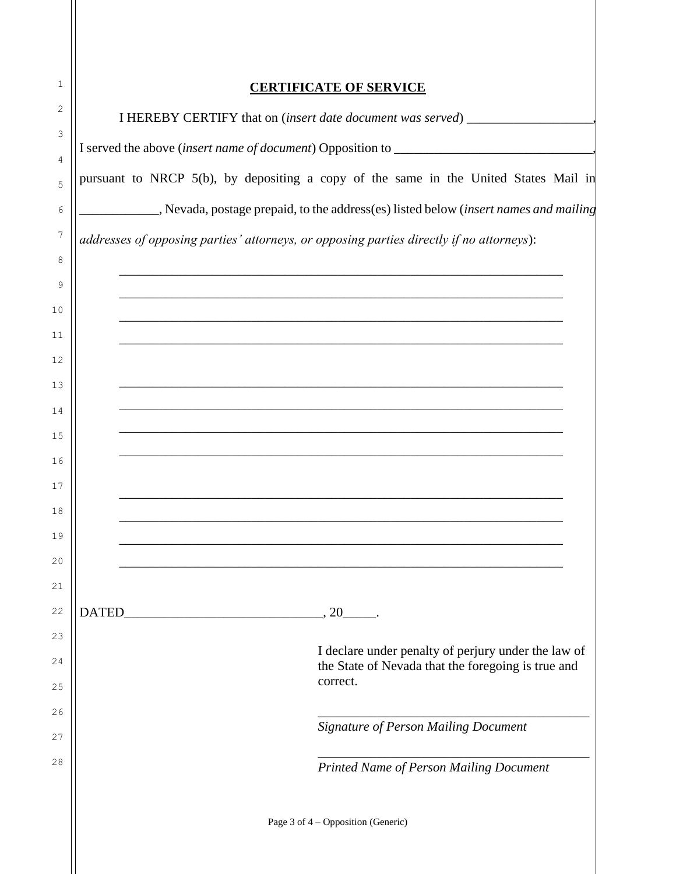| 1        |              |                                                                                          |
|----------|--------------|------------------------------------------------------------------------------------------|
| 2        |              | <b>CERTIFICATE OF SERVICE</b>                                                            |
| 3        |              | I HEREBY CERTIFY that on (insert date document was served) _____________________         |
| 4        |              |                                                                                          |
| 5        |              | pursuant to NRCP 5(b), by depositing a copy of the same in the United States Mail in     |
| 6        |              | Nevada, postage prepaid, to the address(es) listed below (insert names and mailing       |
| 7        |              | addresses of opposing parties' attorneys, or opposing parties directly if no attorneys): |
| 8        |              |                                                                                          |
| 9        |              |                                                                                          |
| 10       |              | <u> 1990 - Jan Barbara, Amerikaansk politiker († 1908)</u>                               |
| 11<br>12 |              |                                                                                          |
| 13       |              | ,我们也不能在这里的时候,我们也不能在这里的时候,我们也不能在这里的时候,我们也不能会在这里的时候,我们也不能会在这里的时候,我们也不能会在这里的时候,我们也不         |
| 14       |              |                                                                                          |
| 15       |              |                                                                                          |
| 16       |              |                                                                                          |
| 17       |              |                                                                                          |
| 18       |              |                                                                                          |
| 19       |              |                                                                                          |
| 20       |              |                                                                                          |
| 21       |              |                                                                                          |
| 22<br>23 | <b>DATED</b> | , 20                                                                                     |
| 24       |              | I declare under penalty of perjury under the law of                                      |
| 25       |              | the State of Nevada that the foregoing is true and<br>correct.                           |
| 26       |              |                                                                                          |
| 27       |              | <b>Signature of Person Mailing Document</b>                                              |
| 28       |              | Printed Name of Person Mailing Document                                                  |
|          |              | Page 3 of 4 – Opposition (Generic)                                                       |
|          |              |                                                                                          |